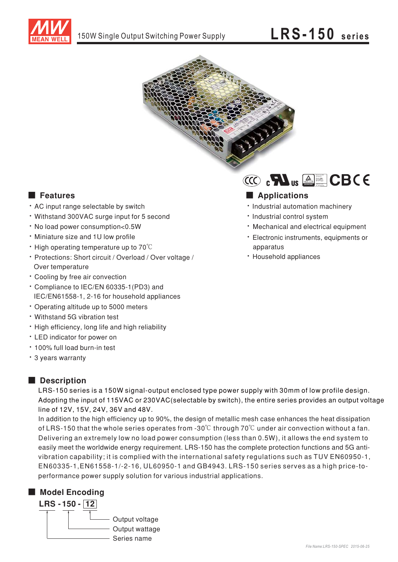



## **E** Features

- AC input range selectable by switch
- Withstand 300VAC surge input for 5 second
- . No load power consumption<0.5W
- · Miniature size and 1U low profile
- $\cdot$  High operating temperature up to 70 $\degree$ C
- · Protections: Short circuit / Overload / Over voltage / Over temperature
- \* Cooling by free air convection
- \* Compliance to IEC/EN 60335-1(PD3) and IEC/EN61558-1, 2-16 for household appliances
- Operating altitude up to 5000 meters
- Withstand 5G vibration test
- . High efficiency, long life and high reliability
- LED indicator for power on
- . 100% full load burn-in test
- \* 3 years warranty

## Description

LRS-150 series is a 150W signal-output enclosed type power supply with 30mm of low profile design. Adopting the input of 115VAC or 230VAC (selectable by switch), the entire series provides an output voltage line of 12V, 15V, 24V, 36V and 48V.

In addition to the high efficiency up to 90%, the design of metallic mesh case enhances the heat dissipation of LRS-150 that the whole series operates from -30 $\degree$  through 70 $\degree$ C under air convection without a fan. Delivering an extremely low no load power consumption (less than 0.5W), it allows the end system to easily meet the worldwide energy requirement. LRS-150 has the complete protection functions and 5G antivibration capability; it is complied with the international safety regulations such as TUV EN60950-1, EN60335-1, EN61558-1/-2-16, UL60950-1 and GB4943. LRS-150 series serves as a high price-toperformance power supply solution for various industrial applications.

## Model Encoding



# 

#### Applications

- · Industrial automation machinery
- · Industrial control system
- Mechanical and electrical equipment
- · Electronic instruments, equipments or apparatus
- · Household appliances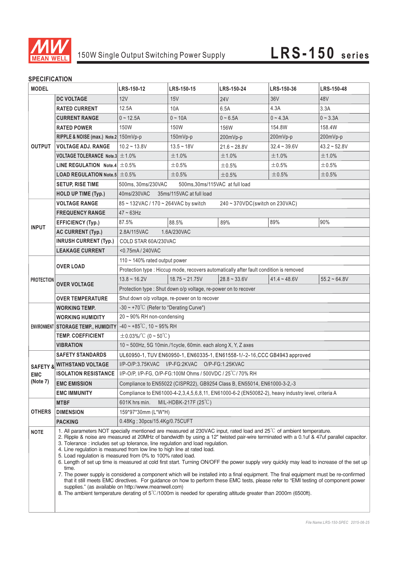

#### **SPECIFICATION**

| <b>MODEL</b>                                  |                                                                                                                                                                                                                                                                                                                                                                                                                                                                                                                                                                                                                                                                                                                                                                                                                                                                                                                                                                                                                                                                                                                                   | LRS-150-12                                                                                        | LRS-150-15          | LRS-150-24     | LRS-150-36     | LRS-150-48     |  |
|-----------------------------------------------|-----------------------------------------------------------------------------------------------------------------------------------------------------------------------------------------------------------------------------------------------------------------------------------------------------------------------------------------------------------------------------------------------------------------------------------------------------------------------------------------------------------------------------------------------------------------------------------------------------------------------------------------------------------------------------------------------------------------------------------------------------------------------------------------------------------------------------------------------------------------------------------------------------------------------------------------------------------------------------------------------------------------------------------------------------------------------------------------------------------------------------------|---------------------------------------------------------------------------------------------------|---------------------|----------------|----------------|----------------|--|
| <b>OUTPUT</b>                                 | <b>DC VOLTAGE</b>                                                                                                                                                                                                                                                                                                                                                                                                                                                                                                                                                                                                                                                                                                                                                                                                                                                                                                                                                                                                                                                                                                                 | 12V                                                                                               | 15V                 | <b>24V</b>     | 36V            | 48V            |  |
|                                               | <b>RATED CURRENT</b>                                                                                                                                                                                                                                                                                                                                                                                                                                                                                                                                                                                                                                                                                                                                                                                                                                                                                                                                                                                                                                                                                                              | 12.5A                                                                                             | 10A                 | 6.5A           | 4.3A           | 3.3A           |  |
|                                               | <b>CURRENT RANGE</b>                                                                                                                                                                                                                                                                                                                                                                                                                                                                                                                                                                                                                                                                                                                                                                                                                                                                                                                                                                                                                                                                                                              | $0 - 12.5A$                                                                                       | $0 - 10A$           | $0 - 6.5A$     | $0 - 4.3A$     | $0 - 3.3A$     |  |
|                                               | <b>RATED POWER</b>                                                                                                                                                                                                                                                                                                                                                                                                                                                                                                                                                                                                                                                                                                                                                                                                                                                                                                                                                                                                                                                                                                                | 150W                                                                                              | 150W                | 156W           | 154.8W         | 158.4W         |  |
|                                               | RIPPLE & NOISE (max.) Note.2 150mVp-p                                                                                                                                                                                                                                                                                                                                                                                                                                                                                                                                                                                                                                                                                                                                                                                                                                                                                                                                                                                                                                                                                             |                                                                                                   | 150mVp-p            | 200mVp-p       | 200mVp-p       | 200mVp-p       |  |
|                                               | <b>VOLTAGE ADJ. RANGE</b>                                                                                                                                                                                                                                                                                                                                                                                                                                                                                                                                                                                                                                                                                                                                                                                                                                                                                                                                                                                                                                                                                                         | $10.2 - 13.8V$                                                                                    | $13.5 - 18V$        | $21.6 - 28.8V$ | $32.4 - 39.6V$ | $43.2 - 52.8V$ |  |
|                                               | VOLTAGE TOLERANCE Note.3 $\pm$ 1.0%                                                                                                                                                                                                                                                                                                                                                                                                                                                                                                                                                                                                                                                                                                                                                                                                                                                                                                                                                                                                                                                                                               |                                                                                                   | ±1.0%               | ±1.0%          | ±1.0%          | ±1.0%          |  |
|                                               | LINE REGULATION Note.4 $\pm$ 0.5%                                                                                                                                                                                                                                                                                                                                                                                                                                                                                                                                                                                                                                                                                                                                                                                                                                                                                                                                                                                                                                                                                                 |                                                                                                   | ±0.5%               | ±0.5%          | $\pm 0.5\%$    | ±0.5%          |  |
|                                               | <b>LOAD REGULATION Note.5 <math>\pm 0.5\%</math></b>                                                                                                                                                                                                                                                                                                                                                                                                                                                                                                                                                                                                                                                                                                                                                                                                                                                                                                                                                                                                                                                                              |                                                                                                   | ±0.5%               | ±0.5%          | ±0.5%          | ±0.5%          |  |
|                                               | <b>SETUP, RISE TIME</b>                                                                                                                                                                                                                                                                                                                                                                                                                                                                                                                                                                                                                                                                                                                                                                                                                                                                                                                                                                                                                                                                                                           | 500ms, 30ms/230VAC<br>500ms, 30ms/115VAC at full load                                             |                     |                |                |                |  |
|                                               | <b>HOLD UP TIME (Typ.)</b>                                                                                                                                                                                                                                                                                                                                                                                                                                                                                                                                                                                                                                                                                                                                                                                                                                                                                                                                                                                                                                                                                                        | 40ms/230VAC<br>35ms/115VAC at full load                                                           |                     |                |                |                |  |
| <b>INPUT</b>                                  | <b>VOLTAGE RANGE</b>                                                                                                                                                                                                                                                                                                                                                                                                                                                                                                                                                                                                                                                                                                                                                                                                                                                                                                                                                                                                                                                                                                              | 85 ~ 132VAC / 170 ~ 264VAC by switch<br>240 ~ 370VDC(switch on 230VAC)                            |                     |                |                |                |  |
|                                               | <b>FREQUENCY RANGE</b>                                                                                                                                                                                                                                                                                                                                                                                                                                                                                                                                                                                                                                                                                                                                                                                                                                                                                                                                                                                                                                                                                                            | $47 \sim 63$ Hz                                                                                   |                     |                |                |                |  |
|                                               | <b>EFFICIENCY (Typ.)</b>                                                                                                                                                                                                                                                                                                                                                                                                                                                                                                                                                                                                                                                                                                                                                                                                                                                                                                                                                                                                                                                                                                          | 87.5%                                                                                             | 88.5%               | 89%            | 89%            | 90%            |  |
|                                               | <b>AC CURRENT (Typ.)</b>                                                                                                                                                                                                                                                                                                                                                                                                                                                                                                                                                                                                                                                                                                                                                                                                                                                                                                                                                                                                                                                                                                          | 2.8A/115VAC<br>1.6A/230VAC                                                                        |                     |                |                |                |  |
|                                               | <b>INRUSH CURRENT (Typ.)</b>                                                                                                                                                                                                                                                                                                                                                                                                                                                                                                                                                                                                                                                                                                                                                                                                                                                                                                                                                                                                                                                                                                      | COLD STAR 60A/230VAC                                                                              |                     |                |                |                |  |
|                                               | <b>LEAKAGE CURRENT</b>                                                                                                                                                                                                                                                                                                                                                                                                                                                                                                                                                                                                                                                                                                                                                                                                                                                                                                                                                                                                                                                                                                            | <0.75mA / 240VAC                                                                                  |                     |                |                |                |  |
| <b>PROTECTION</b>                             | <b>OVER LOAD</b>                                                                                                                                                                                                                                                                                                                                                                                                                                                                                                                                                                                                                                                                                                                                                                                                                                                                                                                                                                                                                                                                                                                  | 110 $\sim$ 140% rated output power                                                                |                     |                |                |                |  |
|                                               |                                                                                                                                                                                                                                                                                                                                                                                                                                                                                                                                                                                                                                                                                                                                                                                                                                                                                                                                                                                                                                                                                                                                   | Protection type : Hiccup mode, recovers automatically after fault condition is removed            |                     |                |                |                |  |
|                                               | <b>OVER VOLTAGE</b>                                                                                                                                                                                                                                                                                                                                                                                                                                                                                                                                                                                                                                                                                                                                                                                                                                                                                                                                                                                                                                                                                                               | $13.8 \sim 16.2V$                                                                                 | $18.75 \sim 21.75V$ | $28.8 - 33.6V$ | $41.4 - 48.6V$ | $55.2 - 64.8V$ |  |
|                                               |                                                                                                                                                                                                                                                                                                                                                                                                                                                                                                                                                                                                                                                                                                                                                                                                                                                                                                                                                                                                                                                                                                                                   | Protection type : Shut down o/p voltage, re-power on to recover                                   |                     |                |                |                |  |
|                                               | <b>OVER TEMPERATURE</b>                                                                                                                                                                                                                                                                                                                                                                                                                                                                                                                                                                                                                                                                                                                                                                                                                                                                                                                                                                                                                                                                                                           | Shut down o/p voltage, re-power on to recover                                                     |                     |                |                |                |  |
|                                               | <b>WORKING TEMP.</b>                                                                                                                                                                                                                                                                                                                                                                                                                                                                                                                                                                                                                                                                                                                                                                                                                                                                                                                                                                                                                                                                                                              | $-30 \sim +70^{\circ}$ (Refer to "Derating Curve")                                                |                     |                |                |                |  |
|                                               | <b>WORKING HUMIDITY</b>                                                                                                                                                                                                                                                                                                                                                                                                                                                                                                                                                                                                                                                                                                                                                                                                                                                                                                                                                                                                                                                                                                           | $20 \sim 90\%$ RH non-condensing                                                                  |                     |                |                |                |  |
|                                               | <b>ENVIRONMENT STORAGE TEMP., HUMIDITY</b>                                                                                                                                                                                                                                                                                                                                                                                                                                                                                                                                                                                                                                                                                                                                                                                                                                                                                                                                                                                                                                                                                        | $-40 - +85^{\circ}$ C, 10 ~ 95% RH                                                                |                     |                |                |                |  |
|                                               | <b>TEMP. COEFFICIENT</b>                                                                                                                                                                                                                                                                                                                                                                                                                                                                                                                                                                                                                                                                                                                                                                                                                                                                                                                                                                                                                                                                                                          | $\pm$ 0.03%/°C (0 ~ 50°C)                                                                         |                     |                |                |                |  |
|                                               | <b>VIBRATION</b>                                                                                                                                                                                                                                                                                                                                                                                                                                                                                                                                                                                                                                                                                                                                                                                                                                                                                                                                                                                                                                                                                                                  | $10 \sim 500$ Hz, 5G 10min./1cycle, 60min. each along X, Y, Z axes                                |                     |                |                |                |  |
|                                               | <b>SAFETY STANDARDS</b>                                                                                                                                                                                                                                                                                                                                                                                                                                                                                                                                                                                                                                                                                                                                                                                                                                                                                                                                                                                                                                                                                                           | UL60950-1, TUV EN60950-1, EN60335-1, EN61558-1/-2-16, CCC GB4943 approved                         |                     |                |                |                |  |
| <b>SAFETY &amp;</b><br><b>EMC</b><br>(Note 7) | <b>WITHSTAND VOLTAGE</b>                                                                                                                                                                                                                                                                                                                                                                                                                                                                                                                                                                                                                                                                                                                                                                                                                                                                                                                                                                                                                                                                                                          | I/P-O/P:3.75KVAC I/P-FG:2KVAC O/P-FG:1.25KVAC                                                     |                     |                |                |                |  |
|                                               | <b>ISOLATION RESISTANCE</b>                                                                                                                                                                                                                                                                                                                                                                                                                                                                                                                                                                                                                                                                                                                                                                                                                                                                                                                                                                                                                                                                                                       | I/P-O/P, I/P-FG, O/P-FG:100M Ohms / 500VDC / 25°C/70% RH                                          |                     |                |                |                |  |
|                                               | <b>EMC EMISSION</b>                                                                                                                                                                                                                                                                                                                                                                                                                                                                                                                                                                                                                                                                                                                                                                                                                                                                                                                                                                                                                                                                                                               | Compliance to EN55022 (CISPR22), GB9254 Class B, EN55014, EN61000-3-2,-3                          |                     |                |                |                |  |
|                                               | <b>EMC IMMUNITY</b>                                                                                                                                                                                                                                                                                                                                                                                                                                                                                                                                                                                                                                                                                                                                                                                                                                                                                                                                                                                                                                                                                                               | Compliance to EN61000-4-2,3,4,5,6,8,11, EN61000-6-2 (EN50082-2), heavy industry level, criteria A |                     |                |                |                |  |
| <b>OTHERS</b>                                 | <b>MTBF</b>                                                                                                                                                                                                                                                                                                                                                                                                                                                                                                                                                                                                                                                                                                                                                                                                                                                                                                                                                                                                                                                                                                                       | 601K hrs min.<br>MIL-HDBK-217F $(25^{\circ}C)$                                                    |                     |                |                |                |  |
|                                               | <b>DIMENSION</b>                                                                                                                                                                                                                                                                                                                                                                                                                                                                                                                                                                                                                                                                                                                                                                                                                                                                                                                                                                                                                                                                                                                  | 159*97*30mm (L*W*H)                                                                               |                     |                |                |                |  |
|                                               | <b>PACKING</b>                                                                                                                                                                                                                                                                                                                                                                                                                                                                                                                                                                                                                                                                                                                                                                                                                                                                                                                                                                                                                                                                                                                    | 0.48Kg; 30pcs/15.4Kg/0.75CUFT                                                                     |                     |                |                |                |  |
| <b>NOTE</b>                                   | 1. All parameters NOT specially mentioned are measured at 230VAC input, rated load and 25 <sup>°</sup> C of ambient temperature.<br>2. Ripple & noise are measured at 20MHz of bandwidth by using a 12" twisted pair-wire terminated with a 0.1uf & 47uf parallel capacitor.<br>3. Tolerance: includes set up tolerance, line regulation and load regulation.<br>4. Line regulation is measured from low line to high line at rated load.<br>5. Load regulation is measured from 0% to 100% rated load.<br>6. Length of set up time is measured at cold first start. Turning ON/OFF the power supply very quickly may lead to increase of the set up<br>time.<br>7. The power supply is considered a component which will be installed into a final equipment. The final equipment must be re-confirmed<br>that it still meets EMC directives. For guidance on how to perform these EMC tests, please refer to "EMI testing of component power<br>supplies." (as available on http://www.meanwell.com)<br>8. The ambient temperature derating of $5^{\circ}$ /1000m is needed for operating altitude greater than 2000m (6500ft). |                                                                                                   |                     |                |                |                |  |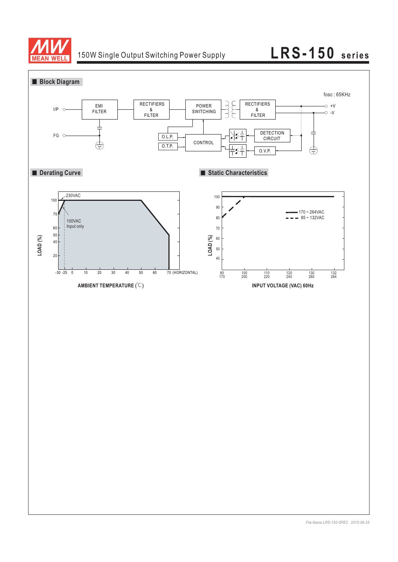

# 150W Single Output Switching Power Supply **LRS-150 series**